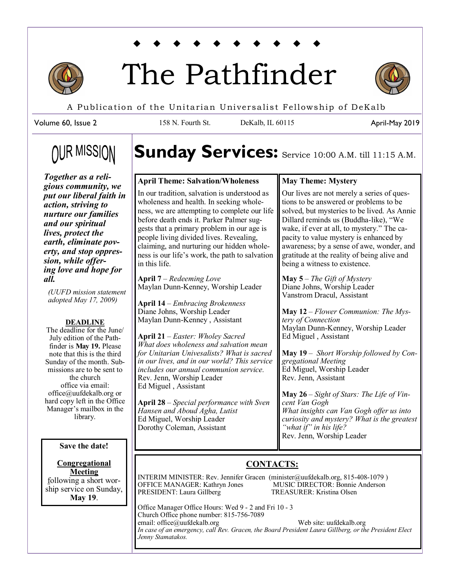

# The Pathfinder



A Publication of the Unitarian Universalist Fellowship of DeKalb

Volume 60, Issue 2

158 N. Fourth St. DeKalb, IL 60115

April-May 2019

# **OUR MISSION**

# Sunday Services: Service 10:00 A.M. till 11:15 A.M.

### **April Theme: Salvation/Wholeness**

*Together as a religious community, we put our liberal faith in action, striving to nurture our families and our spiritual lives, protect the earth, eliminate poverty, and stop oppression, while offering love and hope for all.* 

*(UUFD mission statement adopted May 17, 2009)*

### **DEADLINE**

The deadline for the June/ July edition of the Pathfinder is **May 19.** Please note that this is the third Sunday of the month. Submissions are to be sent to the church office via email: office@uufdekalb.org or hard copy left in the Office Manager's mailbox in the library.

**Save the date!**

#### **Congregational Meeting** following a short worship service on Sunday, **May 19**.

In our tradition, salvation is understood as wholeness and health. In seeking wholeness, we are attempting to complete our life before death ends it. Parker Palmer suggests that a primary problem in our age is people living divided lives. Revealing, claiming, and nurturing our hidden wholeness is our life's work, the path to salvation in this life.

**April 7** – *Redeeming Love* Maylan Dunn-Kenney, Worship Leader

**April 14** – *Embracing Brokenness* Diane Johns, Worship Leader Maylan Dunn-Kenney , Assistant

**April 21** – *Easter: Wholey Sacred What does wholeness and salvation mean for Unitarian Univesalists? What is sacred in our lives, and in our world? This service includes our annual communion service.* Rev. Jenn, Worship Leader Ed Miguel , Assistant

**April 28** – *Special performance with Sven Hansen and Aboud Agha, Lutist* Ed Miguel, Worship Leader Dorothy Coleman, Assistant

### **May Theme: Mystery**

Our lives are not merely a series of questions to be answered or problems to be solved, but mysteries to be lived. As Annie Dillard reminds us (Buddha-like), "We wake, if ever at all, to mystery." The capacity to value mystery is enhanced by awareness; by a sense of awe, wonder, and gratitude at the reality of being alive and being a witness to existence.

**May 5** – *The Gift of Mystery* Diane Johns, Worship Leader Vanstrom Dracul, Assistant

**May 12** – *Flower Communion: The Mystery of Connection* Maylan Dunn-Kenney, Worship Leader Ed Miguel , Assistant

**May 19** – *Short Worship followed by Congregational Meeting* Ed Miguel, Worship Leader Rev. Jenn, Assistant

**May 26** – *Sight of Stars: The Life of Vincent Van Gogh What insights can Van Gogh offer us into curiosity and mystery? What is the greatest "what if" in his life?* Rev. Jenn, Worship Leader

### **CONTACTS:**

INTERIM MINISTER: Rev. Jennifer Gracen (minister@uufdekalb.org, 815-408-1079 ) OFFICE MANAGER: Kathryn Jones MUSIC DIRECTOR: Bonnie Anderson<br>
PRESIDENT: Laura Gillberg TREASURER: Kristina Olsen PRESIDENT: Laura Gillberg

Office Manager Office Hours: Wed 9 - 2 and Fri 10 - 3 Church Office phone number: 815-756-7089 email: office@uufdekalb.org Web site: uufdekalb.org *In case of an emergency, call Rev. Gracen, the Board President Laura Gillberg, or the President Elect Jenny Stamatakos.*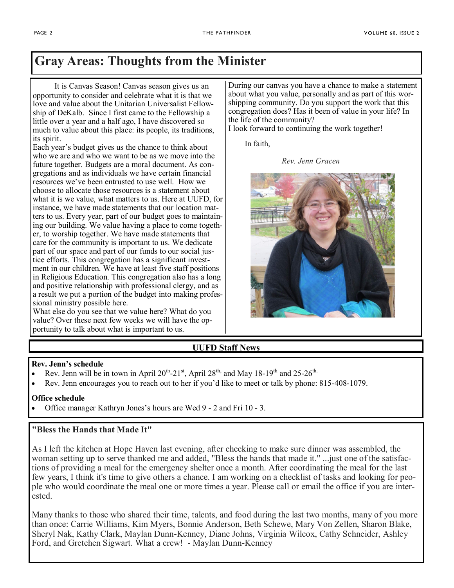### **Gray Areas: Thoughts from the Minister**

 It is Canvas Season! Canvas season gives us an opportunity to consider and celebrate what it is that we love and value about the Unitarian Universalist Fellowship of DeKalb. Since I first came to the Fellowship a little over a year and a half ago, I have discovered so much to value about this place: its people, its traditions, its spirit.

Each year's budget gives us the chance to think about who we are and who we want to be as we move into the future together. Budgets are a moral document. As congregations and as individuals we have certain financial resources we've been entrusted to use well. How we choose to allocate those resources is a statement about what it is we value, what matters to us. Here at UUFD, for instance, we have made statements that our location matters to us. Every year, part of our budget goes to maintaining our building. We value having a place to come together, to worship together. We have made statements that care for the community is important to us. We dedicate part of our space and part of our funds to our social justice efforts. This congregation has a significant investment in our children. We have at least five staff positions in Religious Education. This congregation also has a long and positive relationship with professional clergy, and as a result we put a portion of the budget into making professional ministry possible here.

What else do you see that we value here? What do you value? Over these next few weeks we will have the opportunity to talk about what is important to us.

During our canvas you have a chance to make a statement about what you value, personally and as part of this worshipping community. Do you support the work that this congregation does? Has it been of value in your life? In the life of the community?

I look forward to continuing the work together!

In faith,

*Rev. Jenn Gracen*



### **UUFD Staff News**

### **Rev. Jenn's schedule**

- Rev. Jenn will be in town in April  $20^{th}$ -21<sup>st</sup>, April  $28^{th}$  and May 18-19<sup>th</sup> and 25-26<sup>th.</sup>
- Rev. Jenn encourages you to reach out to her if you'd like to meet or talk by phone: 815-408-1079.

### **Office schedule**

Office manager Kathryn Jones's hours are Wed 9 - 2 and Fri 10 - 3.

### **"Bless the Hands that Made It"**

As I left the kitchen at Hope Haven last evening, after checking to make sure dinner was assembled, the woman setting up to serve thanked me and added, "Bless the hands that made it." ...just one of the satisfactions of providing a meal for the emergency shelter once a month. After coordinating the meal for the last few years, I think it's time to give others a chance. I am working on a checklist of tasks and looking for people who would coordinate the meal one or more times a year. Please call or email the office if you are interested.

Many thanks to those who shared their time, talents, and food during the last two months, many of you more than once: Carrie Williams, Kim Myers, Bonnie Anderson, Beth Schewe, Mary Von Zellen, Sharon Blake, Sheryl Nak, Kathy Clark, Maylan Dunn-Kenney, Diane Johns, Virginia Wilcox, Cathy Schneider, Ashley Ford, and Gretchen Sigwart. What a crew! - Maylan Dunn-Kenney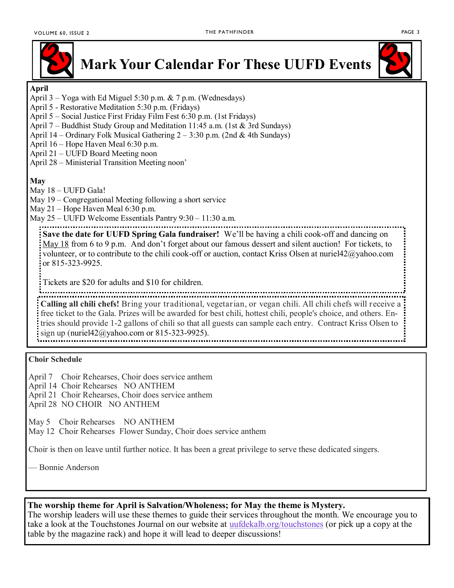

### **Mark Your Calendar For These UUFD Events**



### **April**

- April 3 Yoga with Ed Miguel 5:30 p.m. & 7 p.m. (Wednesdays)
- April 5 Restorative Meditation 5:30 p.m. (Fridays)
- April 5 Social Justice First Friday Film Fest 6:30 p.m. (1st Fridays)
- April 7 Buddhist Study Group and Meditation 11:45 a.m. (1st & 3rd Sundays)
- April 14 Ordinary Folk Musical Gathering 2 3:30 p.m. (2nd & 4th Sundays)
- April 16 Hope Haven Meal 6:30 p.m.
- April 21 UUFD Board Meeting noon
- April 28 Ministerial Transition Meeting noon'

### **May**

- May 18 UUFD Gala!
- May 19 Congregational Meeting following a short service
- May 21 Hope Haven Meal 6:30 p.m.
- May 25 UUFD Welcome Essentials Pantry 9:30 11:30 a.m.

**Save the date for UUFD Spring Gala fundraiser!** We'll be having a chili cook-off and dancing on May 18 from 6 to 9 p.m. And don't forget about our famous dessert and silent auction! For tickets, to volunteer, or to contribute to the chili cook-off or auction, contact Kriss Olsen at nuriel42@yahoo.com or 815-323-9925.

Tickets are \$20 for adults and \$10 for children. **Calling all chili chefs!** Bring your traditional, vegetarian, or vegan chili. All chili chefs will receive a free ticket to the Gala. Prizes will be awarded for best chili, hottest chili, people's choice, and others. Entries should provide 1-2 gallons of chili so that all guests can sample each entry. Contract Kriss Olsen to sign up (nuriel42@yahoo.com or 815-323-9925).

### **Choir Schedule**

- April 7 Choir Rehearses, Choir does service anthem
- April 14 Choir Rehearses NO ANTHEM
- April 21 Choir Rehearses, Choir does service anthem
- April 28 NO CHOIR NO ANTHEM

May 5 Choir Rehearses NO ANTHEM

May 12 Choir Rehearses Flower Sunday, Choir does service anthem

Choir is then on leave until further notice. It has been a great privilege to serve these dedicated singers.

— Bonnie Anderson

### **The worship theme for April is Salvation/Wholeness; for May the theme is Mystery.**

The worship leaders will use these themes to guide their services throughout the month. We encourage you to take a look at the Touchstones Journal on our website at <uufdekalb.org/touchstones> (or pick up a copy at the table by the magazine rack) and hope it will lead to deeper discussions!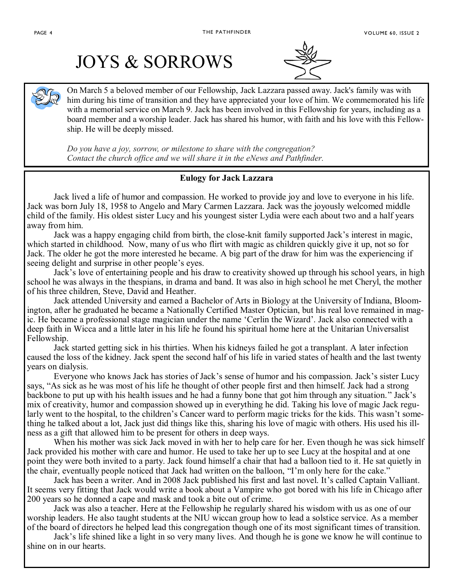## JOYS & SORROWS



On March 5 a beloved member of our Fellowship, Jack Lazzara passed away. Jack's family was with him during his time of transition and they have appreciated your love of him. We commemorated his life with a memorial service on March 9. Jack has been involved in this Fellowship for years, including as a board member and a worship leader. Jack has shared his humor, with faith and his love with this Fellowship. He will be deeply missed.

*Do you have a joy, sorrow, or milestone to share with the congregation? Contact the church office and we will share it in the eNews and Pathfinder.*

### **Eulogy for Jack Lazzara**

Jack lived a life of humor and compassion. He worked to provide joy and love to everyone in his life. Jack was born July 18, 1958 to Angelo and Mary Carmen Lazzara. Jack was the joyously welcomed middle child of the family. His oldest sister Lucy and his youngest sister Lydia were each about two and a half years away from him.

Jack was a happy engaging child from birth, the close-knit family supported Jack's interest in magic, which started in childhood. Now, many of us who flirt with magic as children quickly give it up, not so for Jack. The older he got the more interested he became. A big part of the draw for him was the experiencing if seeing delight and surprise in other people's eyes.

Jack's love of entertaining people and his draw to creativity showed up through his school years, in high school he was always in the thespians, in drama and band. It was also in high school he met Cheryl, the mother of his three children, Steve, David and Heather.

Jack attended University and earned a Bachelor of Arts in Biology at the University of Indiana, Bloomington, after he graduated he became a Nationally Certified Master Optician, but his real love remained in magic. He became a professional stage magician under the name 'Cerlin the Wizard'. Jack also connected with a deep faith in Wicca and a little later in his life he found his spiritual home here at the Unitarian Universalist Fellowship.

Jack started getting sick in his thirties. When his kidneys failed he got a transplant. A later infection caused the loss of the kidney. Jack spent the second half of his life in varied states of health and the last twenty years on dialysis.

Everyone who knows Jack has stories of Jack's sense of humor and his compassion. Jack's sister Lucy says, "As sick as he was most of his life he thought of other people first and then himself. Jack had a strong backbone to put up with his health issues and he had a funny bone that got him through any situation." Jack's mix of creativity, humor and compassion showed up in everything he did. Taking his love of magic Jack regularly went to the hospital, to the children's Cancer ward to perform magic tricks for the kids. This wasn't something he talked about a lot, Jack just did things like this, sharing his love of magic with others. His used his illness as a gift that allowed him to be present for others in deep ways.

When his mother was sick Jack moved in with her to help care for her. Even though he was sick himself Jack provided his mother with care and humor. He used to take her up to see Lucy at the hospital and at one point they were both invited to a party. Jack found himself a chair that had a balloon tied to it. He sat quietly in the chair, eventually people noticed that Jack had written on the balloon, "I'm only here for the cake."

Jack has been a writer. And in 2008 Jack published his first and last novel. It's called Captain Valliant. It seems very fitting that Jack would write a book about a Vampire who got bored with his life in Chicago after 200 years so he donned a cape and mask and took a bite out of crime.

Jack was also a teacher. Here at the Fellowship he regularly shared his wisdom with us as one of our worship leaders. He also taught students at the NIU wiccan group how to lead a solstice service. As a member of the board of directors he helped lead this congregation though one of its most significant times of transition.

Jack's life shined like a light in so very many lives. And though he is gone we know he will continue to shine on in our hearts.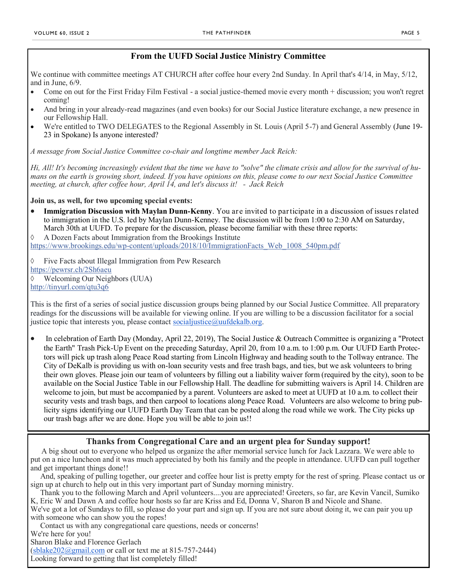### **From the UUFD Social Justice Ministry Committee**

We continue with committee meetings AT CHURCH after coffee hour every 2nd Sunday. In April that's 4/14, in May, 5/12, and in June, 6/9.

- Come on out for the First Friday Film Festival a social justice-themed movie every month + discussion; you won't regret coming!
- And bring in your already-read magazines (and even books) for our Social Justice literature exchange, a new presence in our Fellowship Hall.
- We're entitled to TWO DELEGATES to the Regional Assembly in St. Louis (April 5-7) and General Assembly (June 19- 23 in Spokane) Is anyone interested?

*A message from Social Justice Committee co-chair and longtime member Jack Reich:*

*Hi, All! It's becoming increasingly evident that the time we have to "solve" the climate crisis and allow for the survival of humans on the earth is growing short, indeed. If you have opinions on this, please come to our next Social Justice Committee meeting, at church, after coffee hour, April 14, and let's discuss it! - Jack Reich*

### **Join us, as well, for two upcoming special events:**

 **Immigration Discussion with Maylan Dunn-Kenny**. You are invited to participate in a discussion of issues related to immigration in the U.S. led by Maylan Dunn-Kenney. The discussion will be from 1:00 to 2:30 AM on Saturday, March 30th at UUFD. To prepare for the discussion, please become familiar with these three reports:

 $\Diamond$  A Dozen Facts about Immigration from the Brookings Institute

https://www.brookings.edu/wp-[content/uploads/2018/10/ImmigrationFacts\\_Web\\_1008\\_540pm.pdf](https://www.brookings.edu/wp-content/uploads/2018/10/ImmigrationFacts_Web_1008_540pm.pdf?fbclid=IwAR0i2bKSdWdwJDEDlF3N4dHNWTRq7Tzsl5O9CYgnik6zI6FCnudjFYcxjyQ)

 Five Facts about Illegal Immigration from Pew Research [https://pewrsr.ch/2Sh6aeu](https://pewrsr.ch/2Sh6aeu?fbclid=IwAR3srY_8nmUtj77GvGo0Z4fqhes3HEArh5Ipy3hbEP5ziHhh7TpwYdqxfsw) Welcoming Our Neighbors (UUA) [http://tinyurl.com/qtu3q6](http://tinyurl.com/qtu3q6?fbclid=IwAR0-dw1eeEBOqvRYKOvOc27F8KpsWkRseO5IjA-ckN0yVmt0O9OEETqgqKE)

This is the first of a series of social justice discussion groups being planned by our Social Justice Committee. All preparatory readings for the discussions will be available for viewing online. If you are willing to be a discussion facilitator for a social justice topic that interests you, please contact [socialjustice@uufdekalb.org.](mailto:socialjustice@uufdekalb.org)

 In celebration of Earth Day (Monday, April 22, 2019), The Social Justice & Outreach Committee is organizing a "Protect the Earth" Trash Pick-Up Event on the preceding Saturday, April 20, from 10 a.m. to 1:00 p.m. Our UUFD Earth Protectors will pick up trash along Peace Road starting from Lincoln Highway and heading south to the Tollway entrance. The City of DeKalb is providing us with on-loan security vests and free trash bags, and ties, but we ask volunteers to bring their own gloves. Please join our team of volunteers by filling out a liability waiver form (required by the city), soon to be available on the Social Justice Table in our Fellowship Hall. The deadline for submitting waivers is April 14. Children are welcome to join, but must be accompanied by a parent. Volunteers are asked to meet at UUFD at 10 a.m. to collect their security vests and trash bags, and then carpool to locations along Peace Road. Volunteers are also welcome to bring publicity signs identifying our UUFD Earth Day Team that can be posted along the road while we work. The City picks up our trash bags after we are done. Hope you will be able to join us!!

### **Thanks from Congregational Care and an urgent plea for Sunday support!**

A big shout out to everyone who helped us organize the after memorial service lunch for Jack Lazzara. We were able to put on a nice luncheon and it was much appreciated by both his family and the people in attendance. UUFD can pull together and get important things done!!

And, speaking of pulling together, our greeter and coffee hour list is pretty empty for the rest of spring. Please contact us or sign up at church to help out in this very important part of Sunday morning ministry.

Thank you to the following March and April volunteers....you are appreciated! Greeters, so far, are Kevin Vancil, Sumiko K, Eric W and Dawn A and coffee hour hosts so far are Kriss and Ed, Donna V, Sharon B and Nicole and Shane. We've got a lot of Sundays to fill, so please do your part and sign up. If you are not sure about doing it, we can pair you up with someone who can show you the ropes!

Contact us with any congregational care questions, needs or concerns! We're here for you! Sharon Blake and Florence Gerlach  $(sblack202@gmail.com$  or call or text me at 815-757-2444) Looking forward to getting that list completely filled!